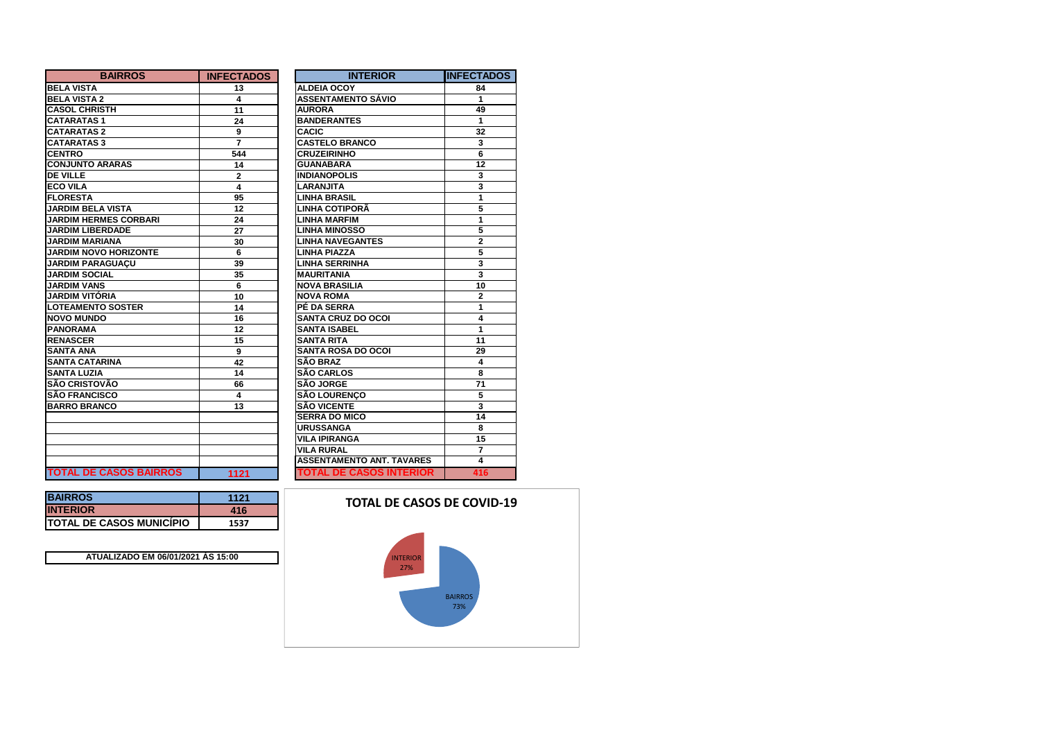| <b>BAIRROS</b>                | <b>INFECTADOS</b> | <b>INTERIOR</b>                  | IINFECTADOS     |
|-------------------------------|-------------------|----------------------------------|-----------------|
| <b>BELA VISTA</b>             | 13                | <b>ALDEIA OCOY</b>               | 84              |
| <b>BELA VISTA 2</b>           | 4                 | <b>ASSENTAMENTO SÁVIO</b>        | 1               |
| <b>CASOL CHRISTH</b>          | 11                | <b>AURORA</b>                    | 49              |
| <b>CATARATAS1</b>             | 24                | <b>BANDERANTES</b>               | 1               |
| <b>CATARATAS 2</b>            | 9                 | <b>CACIC</b>                     | 32              |
| <b>CATARATAS 3</b>            | 7                 | <b>CASTELO BRANCO</b>            | 3               |
| <b>CENTRO</b>                 | 544               | <b>CRUZEIRINHO</b>               | 6               |
| <b>CONJUNTO ARARAS</b>        | 14                | <b>GUANABARA</b>                 | $\overline{12}$ |
| <b>DE VILLE</b>               | $\mathbf{2}$      | <b>INDIANOPOLIS</b>              | 3               |
| <b>ECO VILA</b>               | 4                 | <b>LARANJITA</b>                 | 3               |
| <b>FLORESTA</b>               | 95                | <b>LINHA BRASIL</b>              | 1               |
| <b>JARDIM BELA VISTA</b>      | 12                | LINHA COTIPORÃ                   | 5               |
| <b>JARDIM HERMES CORBARI</b>  | 24                | <b>LINHA MARFIM</b>              | 1               |
| <b>JARDIM LIBERDADE</b>       | 27                | <b>LINHA MINOSSO</b>             | 5               |
| <b>JARDIM MARIANA</b>         | 30                | <b>LINHA NAVEGANTES</b>          | $\overline{2}$  |
| <b>JARDIM NOVO HORIZONTE</b>  | 6                 | <b>LINHA PIAZZA</b>              | 5               |
| <b>JARDIM PARAGUACU</b>       | 39                | <b>LINHA SERRINHA</b>            | 3               |
| <b>JARDIM SOCIAL</b>          | 35                | <b>MAURITANIA</b>                | 3               |
| <b>JARDIM VANS</b>            | 6                 | <b>NOVA BRASILIA</b>             | 10              |
| JARDIM VITÓRIA                | 10                | <b>NOVA ROMA</b>                 | $\overline{2}$  |
| <b>LOTEAMENTO SOSTER</b>      | 14                | PÉ DA SERRA                      | 1               |
| <b>NOVO MUNDO</b>             | 16                | <b>SANTA CRUZ DO OCOI</b>        | 4               |
| <b>PANORAMA</b>               | 12                | <b>SANTA ISABEL</b>              | 1               |
| <b>RENASCER</b>               | 15                | <b>SANTA RITA</b>                | 11              |
| <b>SANTA ANA</b>              | 9                 | <b>SANTA ROSA DO OCOI</b>        | 29              |
| <b>SANTA CATARINA</b>         | 42                | <b>SÃO BRAZ</b>                  | 4               |
| <b>SANTA LUZIA</b>            | 14                | <b>SÃO CARLOS</b>                | 8               |
| <b>SÃO CRISTOVÃO</b>          | 66                | <b>SÃO JORGE</b>                 | 71              |
| <b>SÃO FRANCISCO</b>          | 4                 | <b>SÃO LOURENCO</b>              | 5               |
| <b>BARRO BRANCO</b>           | 13                | <b>SÃO VICENTE</b>               | 3               |
|                               |                   | <b>SERRA DO MICO</b>             | 14              |
|                               |                   | <b>URUSSANGA</b>                 | 8               |
|                               |                   | <b>VILA IPIRANGA</b>             | 15              |
|                               |                   | <b>VILA RURAL</b>                | $\overline{7}$  |
|                               |                   | <b>ASSENTAMENTO ANT. TAVARES</b> | 4               |
| <b>TOTAL DE CASOS BAIRROS</b> | 1121              | <b>TOTAL DE CASOS INTERIOR</b>   | 416             |

| <b>BAIRROS</b>                   | 1121 |
|----------------------------------|------|
| <b>INTERIOR</b>                  | 416  |
| <b>ITOTAL DE CASOS MUNICÍPIO</b> | 1537 |

**ATUALIZADO EM 06/01/2021 ÀS 15:00**

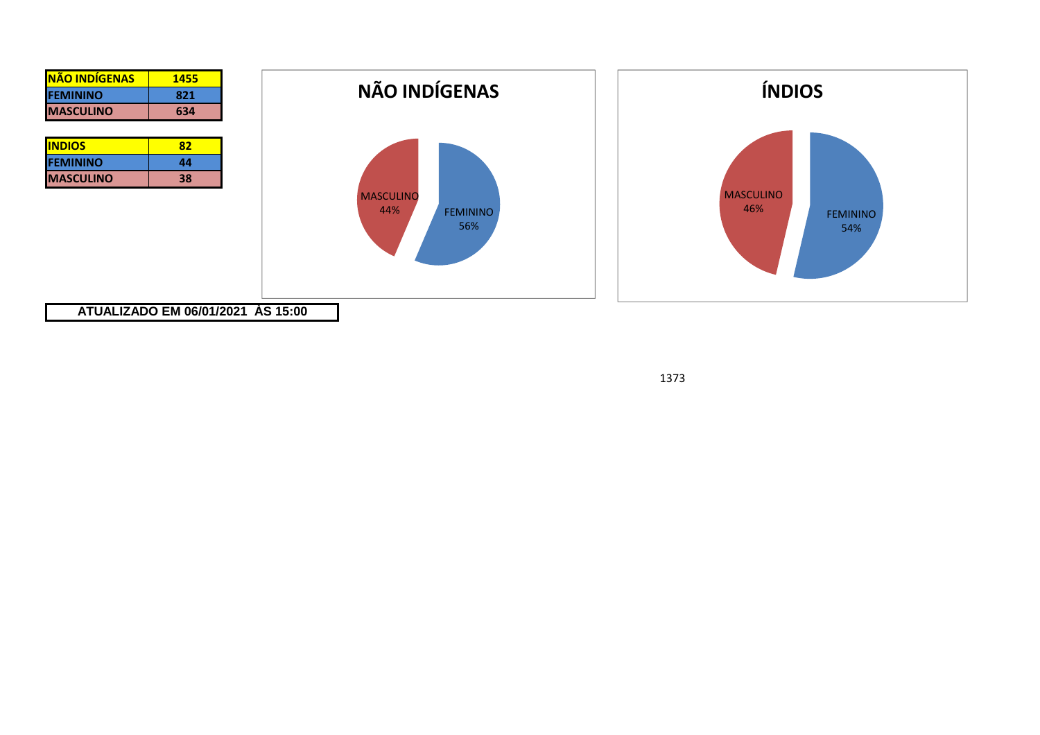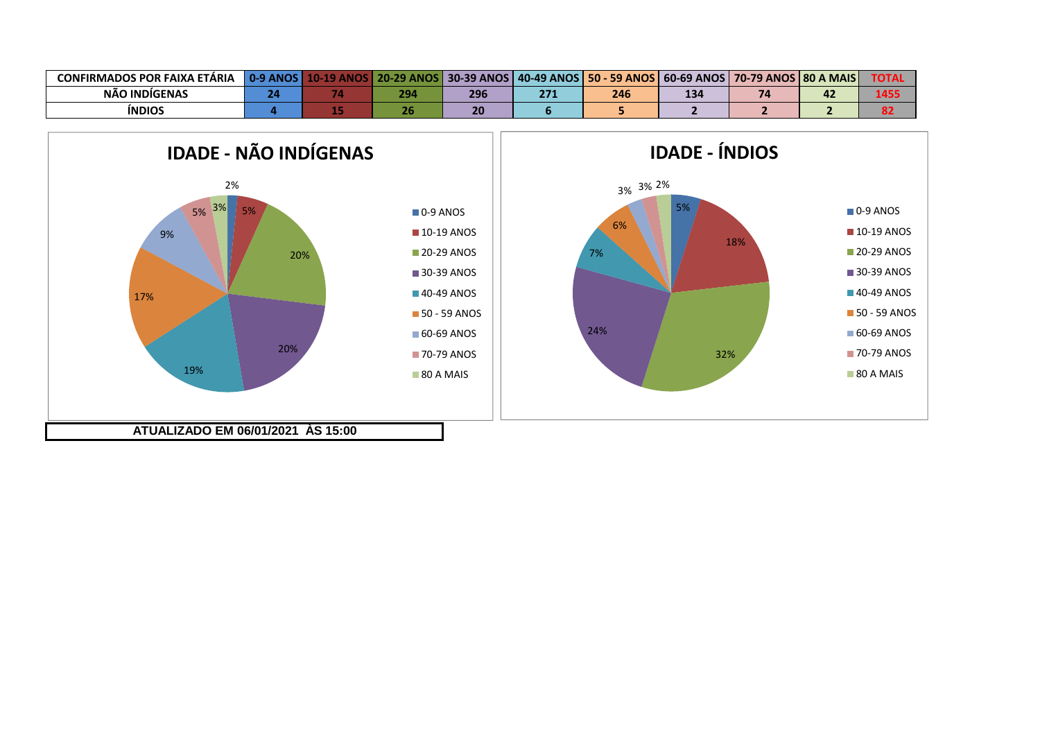| <b>CONFIRMADOS POR FAIXA ETÁRIA</b> | <b>0.9 ANOS</b> | 20.29<br><b>ANOS</b> | <b>30-39 ANOS</b> | 50 - 59 ANOS | $ 60-69$ ANOS | S   70-79 ANOS   80 A MAIS | TOTA. |
|-------------------------------------|-----------------|----------------------|-------------------|--------------|---------------|----------------------------|-------|
| NÃO INDIGENAS                       |                 | 294                  | 296               | 246          | 134           | 74                         | 1 A F |
| <b>INDIOS</b>                       |                 |                      |                   |              |               |                            |       |

5%

18%

0-9 ANOS**10-19 ANOS 20-29 ANOS** 30-39 ANOS **40-49 ANOS 50 - 59 ANOS** 60-69 ANOS **70-79 ANOS** 80 A MAIS

32%

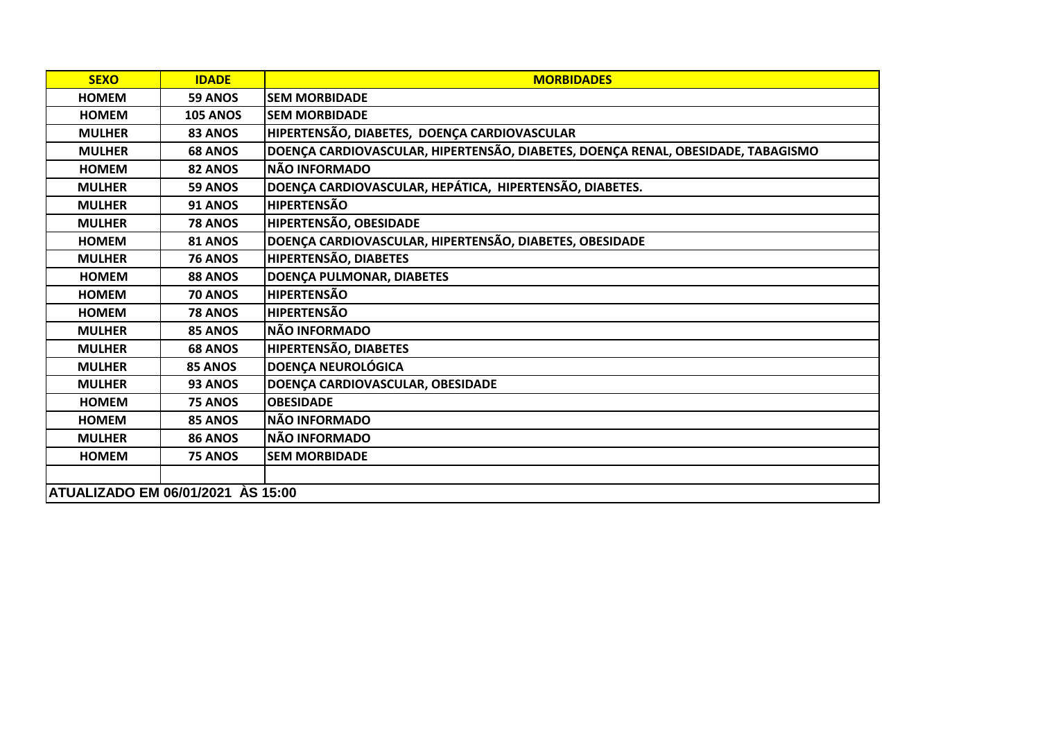| <b>SEXO</b>                       | <b>IDADE</b>    | <b>MORBIDADES</b>                                                                |
|-----------------------------------|-----------------|----------------------------------------------------------------------------------|
| <b>HOMEM</b>                      | 59 ANOS         | <b>SEM MORBIDADE</b>                                                             |
| <b>HOMEM</b>                      | <b>105 ANOS</b> | <b>SEM MORBIDADE</b>                                                             |
| <b>MULHER</b>                     | 83 ANOS         | HIPERTENSÃO, DIABETES, DOENÇA CARDIOVASCULAR                                     |
| <b>MULHER</b>                     | <b>68 ANOS</b>  | DOENÇA CARDIOVASCULAR, HIPERTENSÃO, DIABETES, DOENÇA RENAL, OBESIDADE, TABAGISMO |
| <b>HOMEM</b>                      | 82 ANOS         | <b>NÃO INFORMADO</b>                                                             |
| <b>MULHER</b>                     | 59 ANOS         | DOENÇA CARDIOVASCULAR, HEPÁTICA, HIPERTENSÃO, DIABETES.                          |
| <b>MULHER</b>                     | <b>91 ANOS</b>  | <b>HIPERTENSÃO</b>                                                               |
| <b>MULHER</b>                     | <b>78 ANOS</b>  | HIPERTENSÃO, OBESIDADE                                                           |
| <b>HOMEM</b>                      | 81 ANOS         | DOENÇA CARDIOVASCULAR, HIPERTENSÃO, DIABETES, OBESIDADE                          |
| <b>MULHER</b>                     | <b>76 ANOS</b>  | HIPERTENSÃO, DIABETES                                                            |
| <b>HOMEM</b>                      | 88 ANOS         | DOENÇA PULMONAR, DIABETES                                                        |
| <b>HOMEM</b>                      | <b>70 ANOS</b>  | <b>HIPERTENSÃO</b>                                                               |
| <b>HOMEM</b>                      | <b>78 ANOS</b>  | <b>HIPERTENSÃO</b>                                                               |
| <b>MULHER</b>                     | 85 ANOS         | <b>NÃO INFORMADO</b>                                                             |
| <b>MULHER</b>                     | <b>68 ANOS</b>  | <b>HIPERTENSÃO, DIABETES</b>                                                     |
| <b>MULHER</b>                     | 85 ANOS         | <b>DOENÇA NEUROLÓGICA</b>                                                        |
| <b>MULHER</b>                     | 93 ANOS         | DOENÇA CARDIOVASCULAR, OBESIDADE                                                 |
| <b>HOMEM</b>                      | 75 ANOS         | <b>OBESIDADE</b>                                                                 |
| <b>HOMEM</b>                      | 85 ANOS         | <b>NÃO INFORMADO</b>                                                             |
| <b>MULHER</b>                     | <b>86 ANOS</b>  | <b>NÃO INFORMADO</b>                                                             |
| <b>HOMEM</b>                      | <b>75 ANOS</b>  | <b>SEM MORBIDADE</b>                                                             |
|                                   |                 |                                                                                  |
| ATUALIZADO EM 06/01/2021 ÀS 15:00 |                 |                                                                                  |